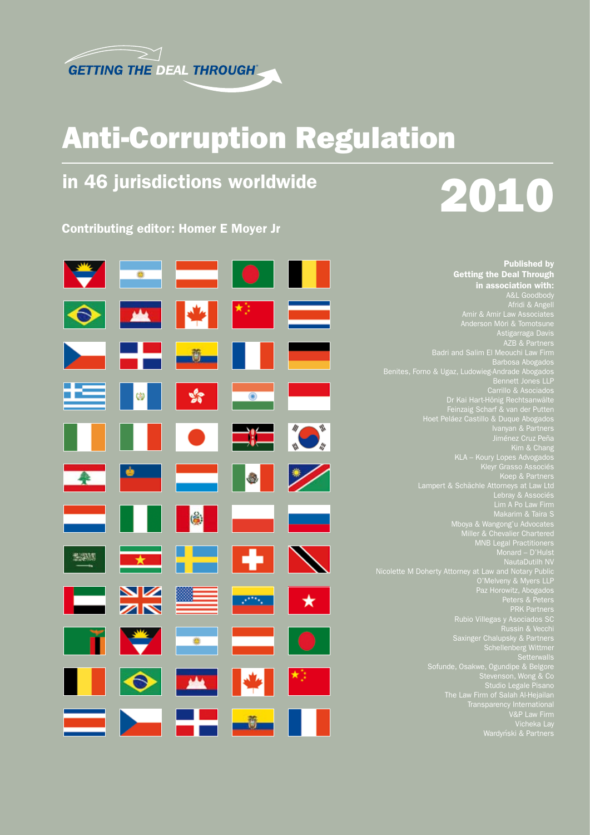

# Anti-Corruption Regulation

# in 46 jurisdictions worldwide

Contributing editor: Homer E Moyer Jr

# 2010

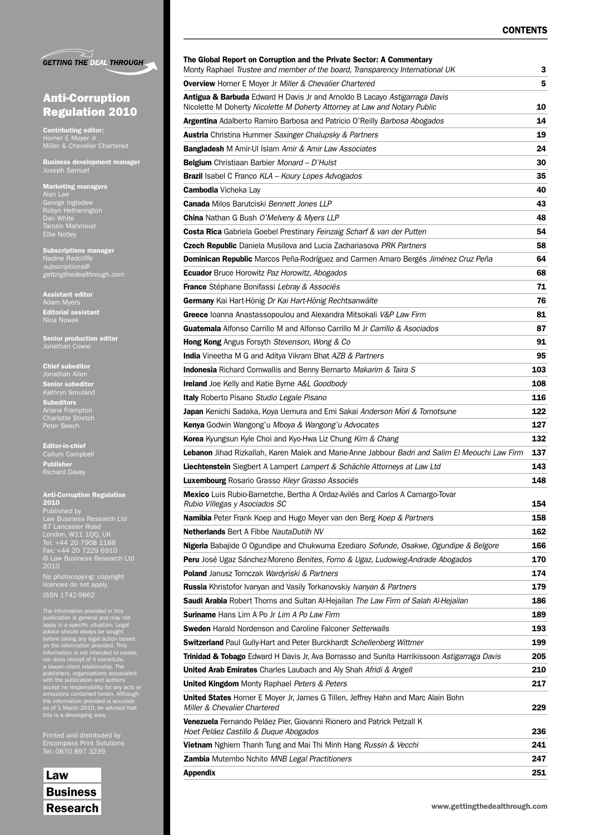|  | <b>GETTING THE DEAL THROUGH</b> |
|--|---------------------------------|

## Anti-Corruption Regulation 2010

Contributing editor: Homer E Moyer Jr Miller & Chevalier Chartered

Business development manager Joseph Samuel

Marketing managers Alan Lee George Ingledew Robyn Hetherington Dan White Tamzin Mahmoud Ellie Notley

Subscriptions manager Nadine Radcliffe *gettingthedealthrough.com*

Assistant editor Adam Myers Editorial assistant Nina Nowak

Senior production editor Jonathan Cowie

Chief subeditor Senior subeditor Kathryn Smuland Subeditors Ariana Frampton

Editor-in-chief Callum Campbell Publisher Richard Davey

Peter Beech

#### Anti-Corruption Regulation 2010

Published by Law Business Research Ltd London, W11 1QQ, UK Tel: +44 20 7908 1188 © Law Business Research Ltd 2010

No photocopying: copyright licences do not apply. ISSN 1742-9862

The information provided in this<br>publication is general and may not<br>apply in a specific situation. Legal<br>advice should always be sought<br>on the information provided. This<br>information is not intended to create,<br>nor does rece

Printed and distributed by Encompass Print Solutions Tel: 0870 897 3239

Law **Business** 

| Monty Raphael Trustee and member of the board, Transparency International UK                                                                                       | з   |  |
|--------------------------------------------------------------------------------------------------------------------------------------------------------------------|-----|--|
| <b>Overview</b> Homer E Moyer Jr Miller & Chevalier Chartered                                                                                                      | 5   |  |
| <b>Antigua &amp; Barbuda</b> Edward H Davis Jr and Arnoldo B Lacayo Astigarraga Davis<br>Nicolette M Doherty Nicolette M Doherty Attorney at Law and Notary Public | 10  |  |
| Argentina Adalberto Ramiro Barbosa and Patricio O'Reilly Barbosa Abogados                                                                                          |     |  |
| <b>Austria</b> Christina Hummer Saxinger Chalupsky & Partners                                                                                                      | 19  |  |
| <b>Bangladesh</b> M Amir-UI Islam Amir & Amir Law Associates                                                                                                       | 24  |  |
| <b>Belgium</b> Christiaan Barbier Monard - D'Hulst                                                                                                                 | 30  |  |
| <b>Brazil</b> Isabel C Franco KLA – Koury Lopes Advogados                                                                                                          | 35  |  |
| <b>Cambodia</b> Vicheka Lay                                                                                                                                        | 40  |  |
| <b>Canada</b> Milos Barutciski Bennett Jones LLP                                                                                                                   | 43  |  |
| <b>China</b> Nathan G Bush <i>O'Melveny &amp; Myers LLP</i>                                                                                                        |     |  |
| <b>Costa Rica</b> Gabriela Goebel Prestinary Feinzaig Scharf & van der Putten                                                                                      | 54  |  |
| Czech Republic Daniela Musilova and Lucia Zachariasova PRK Partners                                                                                                | 58  |  |
| <b>Dominican Republic</b> Marcos Peña-Rodríguez and Carmen Amaro Bergés Jiménez Cruz Peña                                                                          | 64  |  |
| <b>Ecuador</b> Bruce Horowitz Paz Horowitz, Abogados                                                                                                               | 68  |  |
| <b>France</b> Stéphane Bonifassi Lebray & Associés                                                                                                                 | 71  |  |
| Germany Kai Hart-Hönig Dr Kai Hart-Hönig Rechtsanwälte                                                                                                             | 76  |  |
| Greece Ioanna Anastassopoulou and Alexandra Mitsokali V&P Law Firm                                                                                                 | 81  |  |
| <b>Guatemala</b> Alfonso Carrillo M and Alfonso Carrillo M Jr <i>Carrillo &amp; Asociados</i>                                                                      | 87  |  |
| <b>Hong Kong</b> Angus Forsyth Stevenson, Wong & Co                                                                                                                | 91  |  |
| <b>India</b> Vineetha M G and Aditya Vikram Bhat AZB & Partners                                                                                                    | 95  |  |
| <b>Indonesia</b> Richard Cornwallis and Benny Bernarto Makarim & Taira S                                                                                           | 103 |  |
| <b>Ireland</b> Joe Kelly and Katie Byrne A&L Goodbody                                                                                                              | 108 |  |
| <b>Italy</b> Roberto Pisano Studio Legale Pisano                                                                                                                   | 116 |  |
| Japan Kenichi Sadaka, Koya Uemura and Emi Sakai Anderson Mori & Tomotsune                                                                                          | 122 |  |
| Kenya Godwin Wangong'u Mboya & Wangong'u Advocates                                                                                                                 | 127 |  |
| <b>Korea</b> Kyungsun Kyle Choi and Kyo-Hwa Liz Chung Kim & Chang                                                                                                  | 132 |  |
| Lebanon Jihad Rizkallah, Karen Malek and Marie-Anne Jabbour Badri and Salim El Meouchi Law Firm                                                                    |     |  |
| Liechtenstein Siegbert A Lampert Lampert & Schächle Attorneys at Law Ltd                                                                                           |     |  |
| <b>Luxembourg</b> Rosario Grasso Kleyr Grasso Associés                                                                                                             | 148 |  |
| <b>Mexico</b> Luis Rubio-Barnetche, Bertha A Ordaz-Avilés and Carlos A Camargo-Tovar<br>Rubio Villegas y Asociados SC                                              | 154 |  |
| Namibia Peter Frank Koep and Hugo Meyer van den Berg Koep & Partners                                                                                               |     |  |
| Netherlands Bert A Fibbe NautaDutilh NV                                                                                                                            | 162 |  |
| <b>Nigeria</b> Babajide O Ogundipe and Chukwuma Ezediaro Sofunde, Osakwe, Ogundipe & Belgore                                                                       | 166 |  |
| Peru José Ugaz Sánchez-Moreno Benites, Forno & Ugaz, Ludowieg-Andrade Abogados                                                                                     | 170 |  |
| <b>Poland</b> Janusz Tomczak Wardyński & Partners                                                                                                                  | 174 |  |
| <b>Russia</b> Khristofor Ivanyan and Vasily Torkanovskiy Ivanyan & Partners                                                                                        | 179 |  |
| Saudi Arabia Robert Thoms and Sultan Al-Hejailan The Law Firm of Salah Al-Hejailan                                                                                 | 186 |  |
| <b>Suriname</b> Hans Lim A Po Jr Lim A Po Law Firm                                                                                                                 | 189 |  |
| <b>Sweden</b> Harald Nordenson and Caroline Falconer Setterwalls                                                                                                   | 193 |  |
| <b>Switzerland</b> Paul Gully-Hart and Peter Burckhardt Schellenberg Wittmer                                                                                       | 199 |  |
| Trinidad & Tobago Edward H Davis Jr, Ava Borrasso and Sunita Harrikissoon Astigarraga Davis                                                                        | 205 |  |
| <b>United Arab Emirates</b> Charles Laubach and Aly Shah Afridi & Angell                                                                                           | 210 |  |
| <b>United Kingdom</b> Monty Raphael Peters & Peters                                                                                                                | 217 |  |
| <b>United States</b> Homer E Moyer Jr, James G Tillen, Jeffrey Hahn and Marc Alain Bohn<br>Miller & Chevalier Chartered                                            | 229 |  |
| Venezuela Fernando Peláez Pier, Giovanni Rionero and Patrick Petzall K<br>Hoet Peláez Castillo & Duque Abogados                                                    | 236 |  |
| <b>Vietnam</b> Nghiem Thanh Tung and Mai Thi Minh Hang Russin & Vecchi                                                                                             | 241 |  |
| <b>Zambia</b> Mutembo Nchito MNB Legal Practitioners                                                                                                               | 247 |  |

Appendix 251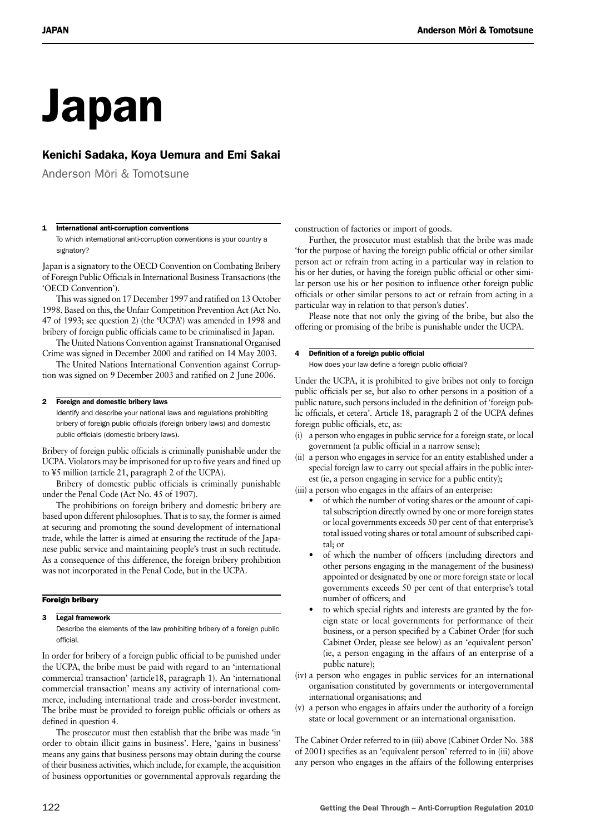# Japan

## Kenichi Sadaka, Koya Uemura and Emi Sakai

Anderson Mōri & Tomotsune

#### 1 International anti-corruption conventions

To which international anti-corruption conventions is your country a signatory?

Japan is a signatory to the OECD Convention on Combating Bribery of Foreign Public Officials in International Business Transactions (the 'OECD Convention').

This was signed on 17 December 1997 and ratified on 13 October 1998. Based on this, the Unfair Competition Prevention Act (Act No. 47 of 1993; see question 2) (the 'UCPA') was amended in 1998 and bribery of foreign public officials came to be criminalised in Japan.

The United Nations Convention against Transnational Organised Crime was signed in December 2000 and ratified on 14 May 2003.

The United Nations International Convention against Corruption was signed on 9 December 2003 and ratified on 2 June 2006.

#### 2 Foreign and domestic bribery laws

Identify and describe your national laws and regulations prohibiting bribery of foreign public officials (foreign bribery laws) and domestic public officials (domestic bribery laws).

Bribery of foreign public officials is criminally punishable under the UCPA. Violators may be imprisoned for up to five years and fined up to ¥5 million (article 21, paragraph 2 of the UCPA).

Bribery of domestic public officials is criminally punishable under the Penal Code (Act No. 45 of 1907).

The prohibitions on foreign bribery and domestic bribery are based upon different philosophies. That is to say, the former is aimed at securing and promoting the sound development of international trade, while the latter is aimed at ensuring the rectitude of the Japanese public service and maintaining people's trust in such rectitude. As a consequence of this difference, the foreign bribery prohibition was not incorporated in the Penal Code, but in the UCPA.

#### Foreign bribery

3 Legal framework

Describe the elements of the law prohibiting bribery of a foreign public official.

In order for bribery of a foreign public official to be punished under the UCPA, the bribe must be paid with regard to an 'international commercial transaction' (article18, paragraph 1). An 'international commercial transaction' means any activity of international commerce, including international trade and cross-border investment. The bribe must be provided to foreign public officials or others as defined in question 4.

The prosecutor must then establish that the bribe was made 'in order to obtain illicit gains in business'. Here, 'gains in business' means any gains that business persons may obtain during the course of their business activities, which include, for example, the acquisition of business opportunities or governmental approvals regarding the

construction of factories or import of goods.

Further, the prosecutor must establish that the bribe was made 'for the purpose of having the foreign public official or other similar person act or refrain from acting in a particular way in relation to his or her duties, or having the foreign public official or other similar person use his or her position to influence other foreign public officials or other similar persons to act or refrain from acting in a particular way in relation to that person's duties'.

Please note that not only the giving of the bribe, but also the offering or promising of the bribe is punishable under the UCPA.

#### 4 Definition of a foreign public official

How does your law define a foreign public official?

Under the UCPA, it is prohibited to give bribes not only to foreign public officials per se, but also to other persons in a position of a public nature, such persons included in the definition of 'foreign public officials, et cetera'. Article 18, paragraph 2 of the UCPA defines foreign public officials, etc, as:

- (i) a person who engages in public service for a foreign state, or local government (a public official in a narrow sense);
- (ii) a person who engages in service for an entity established under a special foreign law to carry out special affairs in the public interest (ie, a person engaging in service for a public entity);
- (iii) a person who engages in the affairs of an enterprise:
	- of which the number of voting shares or the amount of capital subscription directly owned by one or more foreign states or local governments exceeds 50 per cent of that enterprise's total issued voting shares or total amount of subscribed capital; or
	- of which the number of officers (including directors and other persons engaging in the management of the business) appointed or designated by one or more foreign state or local governments exceeds 50 per cent of that enterprise's total number of officers; and
	- to which special rights and interests are granted by the foreign state or local governments for performance of their business, or a person specified by a Cabinet Order (for such Cabinet Order, please see below) as an 'equivalent person' (ie, a person engaging in the affairs of an enterprise of a public nature);
- (iv) a person who engages in public services for an international organisation constituted by governments or intergovernmental international organisations; and
- (v) a person who engages in affairs under the authority of a foreign state or local government or an international organisation.

The Cabinet Order referred to in (iii) above (Cabinet Order No. 388 of 2001) specifies as an 'equivalent person' referred to in (iii) above any person who engages in the affairs of the following enterprises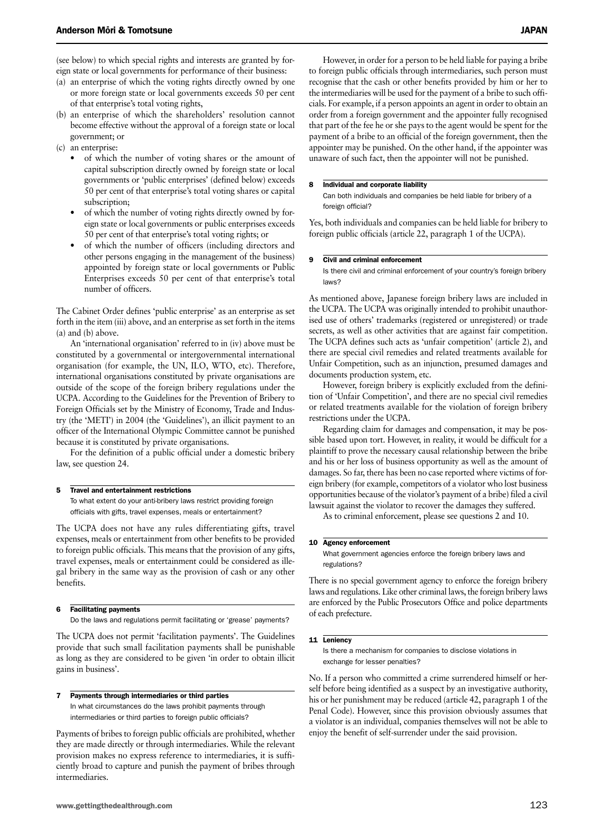(see below) to which special rights and interests are granted by foreign state or local governments for performance of their business:

- (a) an enterprise of which the voting rights directly owned by one or more foreign state or local governments exceeds 50 per cent of that enterprise's total voting rights,
- (b) an enterprise of which the shareholders' resolution cannot become effective without the approval of a foreign state or local government; or
- (c) an enterprise:
	- of which the number of voting shares or the amount of capital subscription directly owned by foreign state or local governments or 'public enterprises' (defined below) exceeds 50 per cent of that enterprise's total voting shares or capital subscription;
	- of which the number of voting rights directly owned by foreign state or local governments or public enterprises exceeds 50 per cent of that enterprise's total voting rights; or
	- of which the number of officers (including directors and other persons engaging in the management of the business) appointed by foreign state or local governments or Public Enterprises exceeds 50 per cent of that enterprise's total number of officers.

The Cabinet Order defines 'public enterprise' as an enterprise as set forth in the item (iii) above, and an enterprise as set forth in the items (a) and (b) above.

An 'international organisation' referred to in (iv) above must be constituted by a governmental or intergovernmental international organisation (for example, the UN, ILO, WTO, etc). Therefore, international organisations constituted by private organisations are outside of the scope of the foreign bribery regulations under the UCPA. According to the Guidelines for the Prevention of Bribery to Foreign Officials set by the Ministry of Economy, Trade and Industry (the 'METI') in 2004 (the 'Guidelines'), an illicit payment to an officer of the International Olympic Committee cannot be punished because it is constituted by private organisations.

For the definition of a public official under a domestic bribery law, see question 24.

#### 5 Travel and entertainment restrictions

To what extent do your anti-bribery laws restrict providing foreign officials with gifts, travel expenses, meals or entertainment?

The UCPA does not have any rules differentiating gifts, travel expenses, meals or entertainment from other benefits to be provided to foreign public officials. This means that the provision of any gifts, travel expenses, meals or entertainment could be considered as illegal bribery in the same way as the provision of cash or any other benefits.

#### 6 Facilitating payments

Do the laws and regulations permit facilitating or 'grease' payments?

The UCPA does not permit 'facilitation payments'. The Guidelines provide that such small facilitation payments shall be punishable as long as they are considered to be given 'in order to obtain illicit gains in business'.

#### Payments through intermediaries or third parties

In what circumstances do the laws prohibit payments through intermediaries or third parties to foreign public officials?

Payments of bribes to foreign public officials are prohibited, whether they are made directly or through intermediaries. While the relevant provision makes no express reference to intermediaries, it is sufficiently broad to capture and punish the payment of bribes through intermediaries.

However, in order for a person to be held liable for paying a bribe to foreign public officials through intermediaries, such person must recognise that the cash or other benefits provided by him or her to the intermediaries will be used for the payment of a bribe to such officials. For example, if a person appoints an agent in order to obtain an order from a foreign government and the appointer fully recognised that part of the fee he or she pays to the agent would be spent for the payment of a bribe to an official of the foreign government, then the appointer may be punished. On the other hand, if the appointer was unaware of such fact, then the appointer will not be punished.

#### 8 Individual and corporate liability

Can both individuals and companies be held liable for bribery of a foreign official?

Yes, both individuals and companies can be held liable for bribery to foreign public officials (article 22, paragraph 1 of the UCPA).

#### 9 Civil and criminal enforcement

Is there civil and criminal enforcement of your country's foreign bribery laws?

As mentioned above, Japanese foreign bribery laws are included in the UCPA. The UCPA was originally intended to prohibit unauthorised use of others' trademarks (registered or unregistered) or trade secrets, as well as other activities that are against fair competition. The UCPA defines such acts as 'unfair competition' (article 2), and there are special civil remedies and related treatments available for Unfair Competition, such as an injunction, presumed damages and documents production system, etc.

However, foreign bribery is explicitly excluded from the definition of 'Unfair Competition', and there are no special civil remedies or related treatments available for the violation of foreign bribery restrictions under the UCPA.

Regarding claim for damages and compensation, it may be possible based upon tort. However, in reality, it would be difficult for a plaintiff to prove the necessary causal relationship between the bribe and his or her loss of business opportunity as well as the amount of damages. So far, there has been no case reported where victims of foreign bribery (for example, competitors of a violator who lost business opportunities because of the violator's payment of a bribe) filed a civil lawsuit against the violator to recover the damages they suffered.

As to criminal enforcement, please see questions 2 and 10.

#### 10 Agency enforcement

What government agencies enforce the foreign bribery laws and regulations?

There is no special government agency to enforce the foreign bribery laws and regulations. Like other criminal laws, the foreign bribery laws are enforced by the Public Prosecutors Office and police departments of each prefecture.

#### 11 Leniency

Is there a mechanism for companies to disclose violations in exchange for lesser penalties?

No. If a person who committed a crime surrendered himself or herself before being identified as a suspect by an investigative authority, his or her punishment may be reduced (article 42, paragraph 1 of the Penal Code). However, since this provision obviously assumes that a violator is an individual, companies themselves will not be able to enjoy the benefit of self-surrender under the said provision.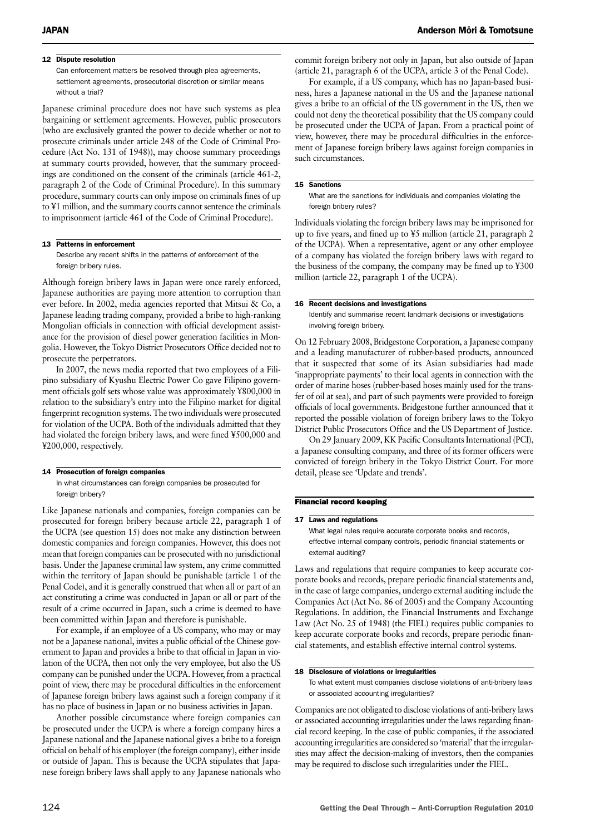#### 12 Dispute resolution

Can enforcement matters be resolved through plea agreements, settlement agreements, prosecutorial discretion or similar means without a trial?

Japanese criminal procedure does not have such systems as plea bargaining or settlement agreements. However, public prosecutors (who are exclusively granted the power to decide whether or not to prosecute criminals under article 248 of the Code of Criminal Procedure (Act No. 131 of 1948)), may choose summary proceedings at summary courts provided, however, that the summary proceedings are conditioned on the consent of the criminals (article 461-2, paragraph 2 of the Code of Criminal Procedure). In this summary procedure, summary courts can only impose on criminals fines of up to ¥1 million, and the summary courts cannot sentence the criminals to imprisonment (article 461 of the Code of Criminal Procedure).

#### 13 Patterns in enforcement

Describe any recent shifts in the patterns of enforcement of the foreign bribery rules.

Although foreign bribery laws in Japan were once rarely enforced, Japanese authorities are paying more attention to corruption than ever before. In 2002, media agencies reported that Mitsui & Co, a Japanese leading trading company, provided a bribe to high-ranking Mongolian officials in connection with official development assistance for the provision of diesel power generation facilities in Mongolia. However, the Tokyo District Prosecutors Office decided not to prosecute the perpetrators.

In 2007, the news media reported that two employees of a Filipino subsidiary of Kyushu Electric Power Co gave Filipino government officials golf sets whose value was approximately ¥800,000 in relation to the subsidiary's entry into the Filipino market for digital fingerprint recognition systems. The two individuals were prosecuted for violation of the UCPA. Both of the individuals admitted that they had violated the foreign bribery laws, and were fined ¥500,000 and ¥200,000, respectively.

#### 14 Prosecution of foreign companies

In what circumstances can foreign companies be prosecuted for foreign bribery?

Like Japanese nationals and companies, foreign companies can be prosecuted for foreign bribery because article 22, paragraph 1 of the UCPA (see question 15) does not make any distinction between domestic companies and foreign companies. However, this does not mean that foreign companies can be prosecuted with no jurisdictional basis. Under the Japanese criminal law system, any crime committed within the territory of Japan should be punishable (article 1 of the Penal Code), and it is generally construed that when all or part of an act constituting a crime was conducted in Japan or all or part of the result of a crime occurred in Japan, such a crime is deemed to have been committed within Japan and therefore is punishable.

For example, if an employee of a US company, who may or may not be a Japanese national, invites a public official of the Chinese government to Japan and provides a bribe to that official in Japan in violation of the UCPA, then not only the very employee, but also the US company can be punished under the UCPA. However, from a practical point of view, there may be procedural difficulties in the enforcement of Japanese foreign bribery laws against such a foreign company if it has no place of business in Japan or no business activities in Japan.

Another possible circumstance where foreign companies can be prosecuted under the UCPA is where a foreign company hires a Japanese national and the Japanese national gives a bribe to a foreign official on behalf of his employer (the foreign company), either inside or outside of Japan. This is because the UCPA stipulates that Japanese foreign bribery laws shall apply to any Japanese nationals who commit foreign bribery not only in Japan, but also outside of Japan (article 21, paragraph 6 of the UCPA, article 3 of the Penal Code).

For example, if a US company, which has no Japan-based business, hires a Japanese national in the US and the Japanese national gives a bribe to an official of the US government in the US, then we could not deny the theoretical possibility that the US company could be prosecuted under the UCPA of Japan. From a practical point of view, however, there may be procedural difficulties in the enforcement of Japanese foreign bribery laws against foreign companies in such circumstances.

#### 15 Sanctions

What are the sanctions for individuals and companies violating the foreign bribery rules?

Individuals violating the foreign bribery laws may be imprisoned for up to five years, and fined up to ¥5 million (article 21, paragraph 2 of the UCPA). When a representative, agent or any other employee of a company has violated the foreign bribery laws with regard to the business of the company, the company may be fined up to ¥300 million (article 22, paragraph 1 of the UCPA).

#### 16 Recent decisions and investigations

Identify and summarise recent landmark decisions or investigations involving foreign bribery.

On 12 February 2008, Bridgestone Corporation, a Japanese company and a leading manufacturer of rubber-based products, announced that it suspected that some of its Asian subsidiaries had made 'inappropriate payments' to their local agents in connection with the order of marine hoses (rubber-based hoses mainly used for the transfer of oil at sea), and part of such payments were provided to foreign officials of local governments. Bridgestone further announced that it reported the possible violation of foreign bribery laws to the Tokyo District Public Prosecutors Office and the US Department of Justice.

On 29 January 2009, KK Pacific Consultants International (PCI), a Japanese consulting company, and three of its former officers were convicted of foreign bribery in the Tokyo District Court. For more detail, please see 'Update and trends'.

#### Financial record keeping

#### 17 Laws and regulations

What legal rules require accurate corporate books and records, effective internal company controls, periodic financial statements or external auditing?

Laws and regulations that require companies to keep accurate corporate books and records, prepare periodic financial statements and, in the case of large companies, undergo external auditing include the Companies Act (Act No. 86 of 2005) and the Company Accounting Regulations. In addition, the Financial Instruments and Exchange Law (Act No. 25 of 1948) (the FIEL) requires public companies to keep accurate corporate books and records, prepare periodic financial statements, and establish effective internal control systems.

#### 18 Disclosure of violations or irregularities

To what extent must companies disclose violations of anti-bribery laws or associated accounting irregularities?

Companies are not obligated to disclose violations of anti-bribery laws or associated accounting irregularities under the laws regarding financial record keeping. In the case of public companies, if the associated accounting irregularities are considered so 'material' that the irregularities may affect the decision-making of investors, then the companies may be required to disclose such irregularities under the FIEL.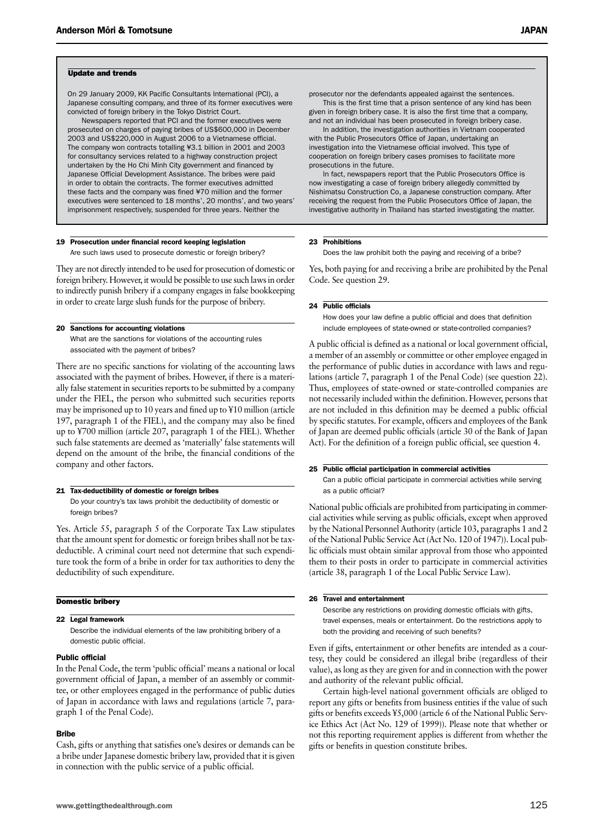#### Update and trends

On 29 January 2009, KK Pacific Consultants International (PCI), a Japanese consulting company, and three of its former executives were convicted of foreign bribery in the Tokyo District Court.

Newspapers reported that PCI and the former executives were prosecuted on charges of paying bribes of US\$600,000 in December 2003 and US\$220,000 in August 2006 to a Vietnamese official. The company won contracts totalling ¥3.1 billion in 2001 and 2003 for consultancy services related to a highway construction project undertaken by the Ho Chi Minh City government and financed by Japanese Official Development Assistance. The bribes were paid in order to obtain the contracts. The former executives admitted these facts and the company was fined ¥70 million and the former executives were sentenced to 18 months', 20 months', and two years' imprisonment respectively, suspended for three years. Neither the

#### 19 Prosecution under financial record keeping legislation

Are such laws used to prosecute domestic or foreign bribery?

They are not directly intended to be used for prosecution of domestic or foreign bribery. However, it would be possible to use such laws in order to indirectly punish bribery if a company engages in false bookkeeping in order to create large slush funds for the purpose of bribery.

## 20 Sanctions for accounting violations

What are the sanctions for violations of the accounting rules associated with the payment of bribes?

There are no specific sanctions for violating of the accounting laws associated with the payment of bribes. However, if there is a materially false statement in securities reports to be submitted by a company under the FIEL, the person who submitted such securities reports may be imprisoned up to 10 years and fined up to ¥10 million (article 197, paragraph 1 of the FIEL), and the company may also be fined up to ¥700 million (article 207, paragraph 1 of the FIEL). Whether such false statements are deemed as 'materially' false statements will depend on the amount of the bribe, the financial conditions of the company and other factors.

#### 21 Tax-deductibility of domestic or foreign bribes

Do your country's tax laws prohibit the deductibility of domestic or foreign bribes?

Yes. Article 55, paragraph 5 of the Corporate Tax Law stipulates that the amount spent for domestic or foreign bribes shall not be taxdeductible. A criminal court need not determine that such expenditure took the form of a bribe in order for tax authorities to deny the deductibility of such expenditure.

#### Domestic bribery

#### 22 Legal framework

Describe the individual elements of the law prohibiting bribery of a domestic public official.

#### Public official

In the Penal Code, the term 'public official' means a national or local government official of Japan, a member of an assembly or committee, or other employees engaged in the performance of public duties of Japan in accordance with laws and regulations (article 7, paragraph 1 of the Penal Code).

#### Bribe

Cash, gifts or anything that satisfies one's desires or demands can be a bribe under Japanese domestic bribery law, provided that it is given in connection with the public service of a public official.

prosecutor nor the defendants appealed against the sentences. This is the first time that a prison sentence of any kind has been

given in foreign bribery case. It is also the first time that a company, and not an individual has been prosecuted in foreign bribery case.

In addition, the investigation authorities in Vietnam cooperated with the Public Prosecutors Office of Japan, undertaking an investigation into the Vietnamese official involved. This type of cooperation on foreign bribery cases promises to facilitate more prosecutions in the future.

In fact, newspapers report that the Public Prosecutors Office is now investigating a case of foreign bribery allegedly committed by Nishimatsu Construction Co, a Japanese construction company. After receiving the request from the Public Prosecutors Office of Japan, the investigative authority in Thailand has started investigating the matter.

#### 23 Prohibitions

Does the law prohibit both the paying and receiving of a bribe?

Yes, both paying for and receiving a bribe are prohibited by the Penal Code. See question 29.

#### 24 Public officials

How does your law define a public official and does that definition include employees of state-owned or state-controlled companies?

A public official is defined as a national or local government official, a member of an assembly or committee or other employee engaged in the performance of public duties in accordance with laws and regulations (article 7, paragraph 1 of the Penal Code) (see question 22). Thus, employees of state-owned or state-controlled companies are not necessarily included within the definition. However, persons that are not included in this definition may be deemed a public official by specific statutes. For example, officers and employees of the Bank of Japan are deemed public officials (article 30 of the Bank of Japan Act). For the definition of a foreign public official, see question 4.

#### 25 Public official participation in commercial activities

Can a public official participate in commercial activities while serving as a public official?

National public officials are prohibited from participating in commercial activities while serving as public officials, except when approved by the National Personnel Authority (article 103, paragraphs 1 and 2 of the National Public Service Act (Act No. 120 of 1947)). Local public officials must obtain similar approval from those who appointed them to their posts in order to participate in commercial activities (article 38, paragraph 1 of the Local Public Service Law).

#### 26 Travel and entertainment

Describe any restrictions on providing domestic officials with gifts, travel expenses, meals or entertainment. Do the restrictions apply to both the providing and receiving of such benefits?

Even if gifts, entertainment or other benefits are intended as a courtesy, they could be considered an illegal bribe (regardless of their value), as long as they are given for and in connection with the power and authority of the relevant public official.

Certain high-level national government officials are obliged to report any gifts or benefits from business entities if the value of such gifts or benefits exceeds ¥5,000 (article 6 of the National Public Service Ethics Act (Act No. 129 of 1999)). Please note that whether or not this reporting requirement applies is different from whether the gifts or benefits in question constitute bribes.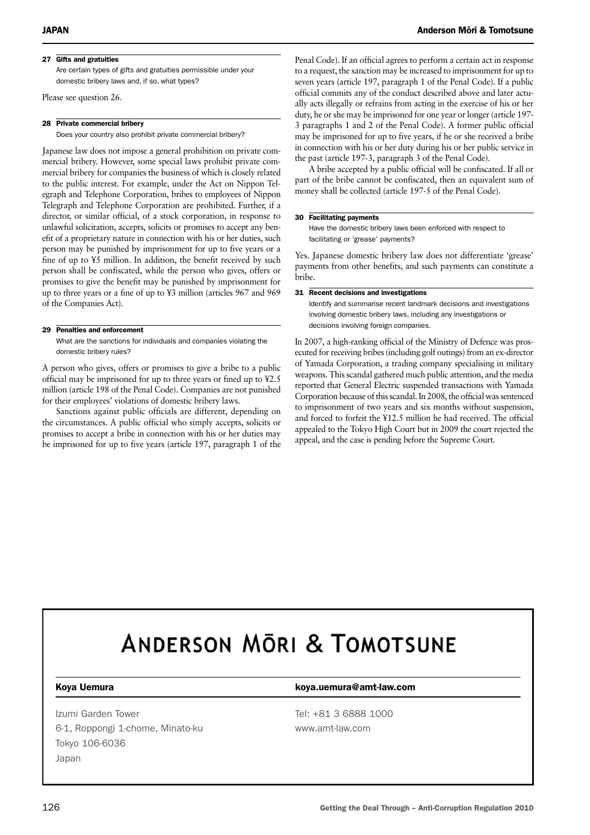### 27 Gifts and gratuities

Are certain types of gifts and gratuities permissible under your domestic bribery laws and, if so, what types?

Please see question 26.

#### 28 Private commercial bribery

Does your country also prohibit private commercial bribery?

Japanese law does not impose a general prohibition on private commercial bribery. However, some special laws prohibit private commercial bribery for companies the business of which is closely related to the public interest. For example, under the Act on Nippon Telegraph and Telephone Corporation, bribes to employees of Nippon Telegraph and Telephone Corporation are prohibited. Further, if a director, or similar official, of a stock corporation, in response to unlawful solicitation, accepts, solicits or promises to accept any benefit of a proprietary nature in connection with his or her duties, such person may be punished by imprisonment for up to five years or a fine of up to ¥5 million. In addition, the benefit received by such person shall be confiscated, while the person who gives, offers or promises to give the benefit may be punished by imprisonment for up to three years or a fine of up to ¥3 million (articles 967 and 969 of the Companies Act).

#### 29 Penalties and enforcement

What are the sanctions for individuals and companies violating the domestic bribery rules?

A person who gives, offers or promises to give a bribe to a public official may be imprisoned for up to three years or fined up to ¥2.5 million (article 198 of the Penal Code). Companies are not punished for their employees' violations of domestic bribery laws.

Sanctions against public officials are different, depending on the circumstances. A public official who simply accepts, solicits or promises to accept a bribe in connection with his or her duties may be imprisoned for up to five years (article 197, paragraph 1 of the

Penal Code). If an official agrees to perform a certain act in response to a request, the sanction may be increased to imprisonment for up to seven years (article 197, paragraph 1 of the Penal Code). If a public official commits any of the conduct described above and later actually acts illegally or refrains from acting in the exercise of his or her duty, he or she may be imprisoned for one year or longer (article 197- 3 paragraphs 1 and 2 of the Penal Code). A former public official may be imprisoned for up to five years, if he or she received a bribe in connection with his or her duty during his or her public service in the past (article 197-3, paragraph 3 of the Penal Code).

A bribe accepted by a public official will be confiscated. If all or part of the bribe cannot be confiscated, then an equivalent sum of money shall be collected (article 197-5 of the Penal Code).

#### 30 Facilitating payments

Have the domestic bribery laws been enforced with respect to facilitating or 'grease' payments?

Yes. Japanese domestic bribery law does not differentiate 'grease' payments from other benefits, and such payments can constitute a bribe.

#### 31 Recent decisions and investigations

Identify and summarise recent landmark decisions and investigations involving domestic bribery laws, including any investigations or decisions involving foreign companies.

In 2007, a high-ranking official of the Ministry of Defence was prosecuted for receiving bribes (including golf outings) from an ex-director of Yamada Corporation, a trading company specialising in military weapons. This scandal gathered much public attention, and the media reported that General Electric suspended transactions with Yamada Corporation because of this scandal. In 2008, the official was sentenced to imprisonment of two years and six months without suspension, and forced to forfeit the ¥12.5 million he had received. The official appealed to the Tokyo High Court but in 2009 the court rejected the appeal, and the case is pending before the Supreme Court.

# **ANDERSON MORI & TOMOTSUNE**

Izumi Garden Tower Tel: +81 3 6888 1000 6-1, Roppongi 1-chome, Minato-ku www.amt-law.com Tokyo 106-6036 Japan

#### Koya Uemura **Koya.uemura@amt-law.com**